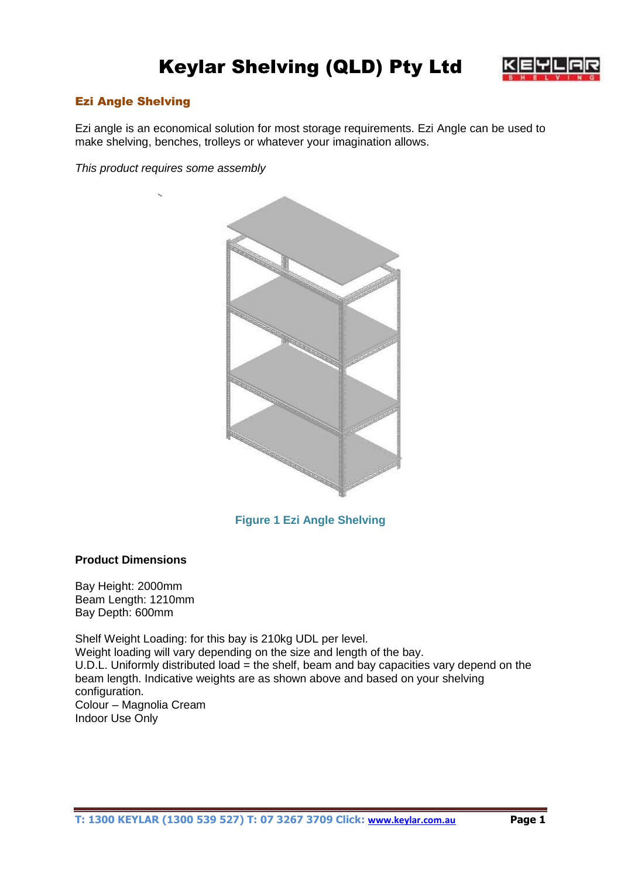# Keylar Shelving (QLD) Pty Ltd



## Ezi Angle Shelving

Ezi angle is an economical solution for most storage requirements. Ezi Angle can be used to make shelving, benches, trolleys or whatever your imagination allows.

*This product requires some assembly*



# **Figure 1 Ezi Angle Shelving**

#### **Product Dimensions**

Bay Height: 2000mm Beam Length: 1210mm Bay Depth: 600mm

Shelf Weight Loading: for this bay is 210kg UDL per level. Weight loading will vary depending on the size and length of the bay. U.D.L. Uniformly distributed load = the shelf, beam and bay capacities vary depend on the beam length. Indicative weights are as shown above and based on your shelving configuration. Colour – Magnolia Cream Indoor Use Only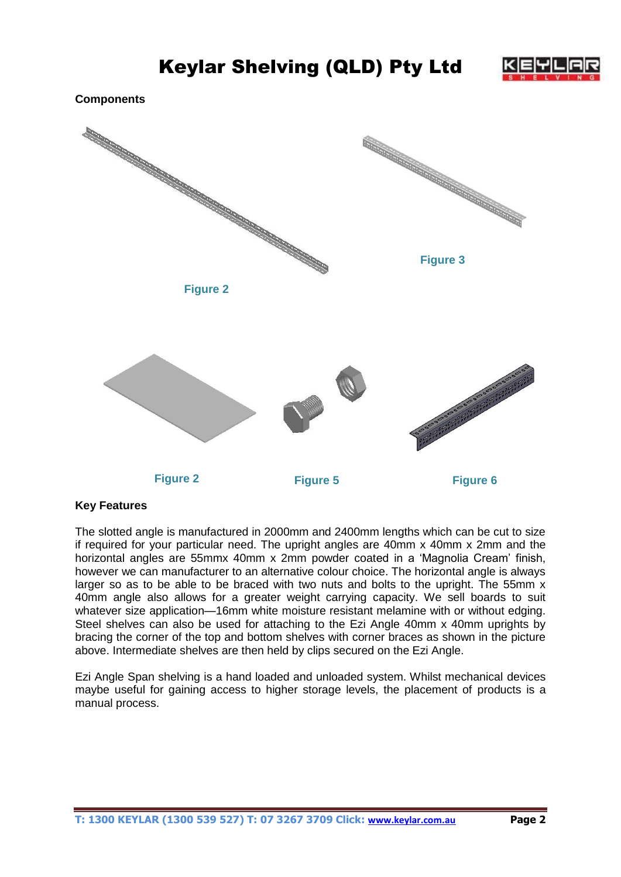

**Components**



## **Key Features**

The slotted angle is manufactured in 2000mm and 2400mm lengths which can be cut to size if required for your particular need. The upright angles are 40mm x 40mm x 2mm and the horizontal angles are 55mmx 40mm x 2mm powder coated in a 'Magnolia Cream' finish, however we can manufacturer to an alternative colour choice. The horizontal angle is always larger so as to be able to be braced with two nuts and bolts to the upright. The 55mm x 40mm angle also allows for a greater weight carrying capacity. We sell boards to suit whatever size application—16mm white moisture resistant melamine with or without edging. Steel shelves can also be used for attaching to the Ezi Angle 40mm x 40mm uprights by bracing the corner of the top and bottom shelves with corner braces as shown in the picture above. Intermediate shelves are then held by clips secured on the Ezi Angle.

Ezi Angle Span shelving is a hand loaded and unloaded system. Whilst mechanical devices maybe useful for gaining access to higher storage levels, the placement of products is a manual process.